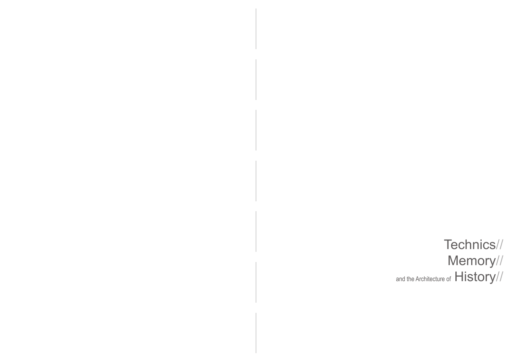Technics// Memory// and the Architecture of  $History//$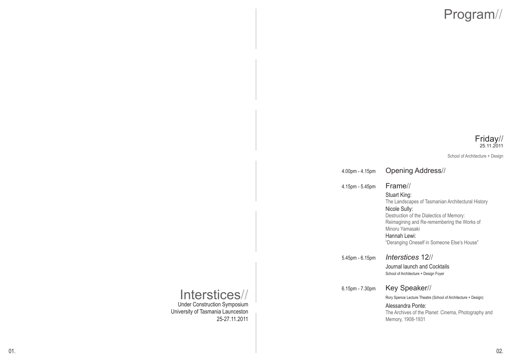# Program//

### Friday// 25.11.2011

School of Architecture + Design

4.00pm - 4.15pm Opening Address//

#### 4.15pm 5.45pm Frame//

### Stuart King:

 The Landscapes of Tasmanian Architectural History Nicole Sully: Destruction of the Dialectics of Memory: Reimagining and Re-remembering the Works of

 Minoru Yamasaki Hannah Lewi:

"Deranging Oneself in Someone Else's House"

5.45pm 6.15pm *Interstices* 12//

## Journal launch and Cocktails

School of Architecture + Design Foyer

### 6.15pm 7.30pm Key Speaker//

Rory Spence Lecture Theatre (School of Architecture + Design)

 Alessandra Ponte: The Archives of the Planet: Cinema, Photography and Memory, 1908-1931

### Interstices// Under Construction Symposium

University of Tasmania Launceston 2527.11.2011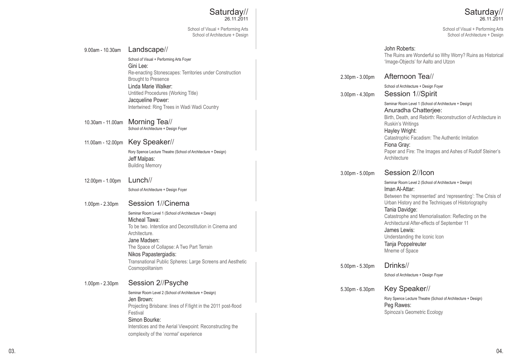### Saturday// 26.11.2011

School of Visual + Performing Arts School of Architecture + Design

|                   | School of Architecture + Design                                                                                                                                                                                                          |                 | School of Architecture + Design                                                                                                                                                                              |
|-------------------|------------------------------------------------------------------------------------------------------------------------------------------------------------------------------------------------------------------------------------------|-----------------|--------------------------------------------------------------------------------------------------------------------------------------------------------------------------------------------------------------|
| 9.00am - 10.30am  | Landscape//<br>School of Visual + Performing Arts Foyer<br>Gini Lee:<br>Re-enacting Stonescapes: Territories under Construction                                                                                                          |                 | John Roberts:<br>The Ruins are Wonderful so Why Worry? Ruins as Historical<br>'Image-Objects' for Aalto and Utzon                                                                                            |
|                   | <b>Brought to Presence</b>                                                                                                                                                                                                               | 2.30pm - 3.00pm | Afternoon Tea//                                                                                                                                                                                              |
|                   | Linda Marie Walker:<br>Untitled Procedures (Working Title)                                                                                                                                                                               | 3.00pm - 4.30pm | School of Architecture + Design Foyer<br>Session 1//Spirit                                                                                                                                                   |
| 10.30am - 11.00am | Jacqueline Power:<br>Intertwined: Ring Trees in Wadi Wadi Country<br>Morning Tea//<br>School of Architecture + Design Foyer                                                                                                              |                 | Seminar Room Level 1 (School of Architecture + Design)<br>Anuradha Chatterjee:<br>Birth, Death, and Rebirth: Reconstruction of Architecture in<br>Ruskin's Writings<br>Hayley Wright:                        |
| 11.00am - 12.00pm | Key Speaker//                                                                                                                                                                                                                            |                 | Catastrophic Facadism: The Authentic Imitation<br>Fiona Gray:<br>Paper and Fire: The Images and Ashes of Rudolf Steiner's                                                                                    |
|                   | Rory Spence Lecture Theatre (School of Architecture + Design)<br>Jeff Malpas:<br><b>Building Memory</b>                                                                                                                                  |                 | Architecture                                                                                                                                                                                                 |
|                   |                                                                                                                                                                                                                                          | 3.00pm - 5.00pm | Session 2//lcon                                                                                                                                                                                              |
| 12.00pm - 1.00pm  | $Lunch$ //<br>School of Architecture + Design Foyer                                                                                                                                                                                      |                 | Seminar Room Level 2 (School of Architecture + Design)<br>Iman Al-Attar:<br>Between the 'represented' and 'representing': The Crisis of                                                                      |
| 1.00pm - 2.30pm   | Session 1//Cinema                                                                                                                                                                                                                        |                 | Urban History and the Techniques of Historiography                                                                                                                                                           |
|                   | Seminar Room Level 1 (School of Architecture + Design)<br>Micheal Tawa:<br>To be two. Interstice and Deconstitution in Cinema and<br>Architecture.<br>Jane Madsen:<br>The Space of Collapse: A Two Part Terrain<br>Nikos Papastergiadis: |                 | Tania Davidge:<br>Catastrophe and Memorialisation: Reflecting on the<br>Architectural After-effects of September 11<br>James Lewis:<br>Understanding the Iconic Icon<br>Tanja Poppelreuter<br>Mneme of Space |
|                   | Transnational Public Spheres: Large Screens and Aesthetic<br>Cosmopolitanism                                                                                                                                                             | 5.00pm - 5.30pm | Drinks//                                                                                                                                                                                                     |
|                   |                                                                                                                                                                                                                                          |                 | School of Architecture + Design Foyer                                                                                                                                                                        |
| 1.00pm - 2.30pm   | Session 2//Psyche<br>Seminar Room Level 2 (School of Architecture + Design)                                                                                                                                                              | 5.30pm - 6.30pm | Key Speaker//                                                                                                                                                                                                |
|                   | Jen Brown:<br>Projecting Brisbane: lines of F/light in the 2011 post-flood<br>Festival<br>Simon Bourke:<br>Interstices and the Aerial Viewpoint: Reconstructing the<br>complexity of the 'normal' experience                             |                 | Rory Spence Lecture Theatre (School of Architecture + Design)<br>Peg Rawes:<br>Spinoza's Geometric Ecology                                                                                                   |

Saturday// 26.11.2011

School of Visual + Performing Arts